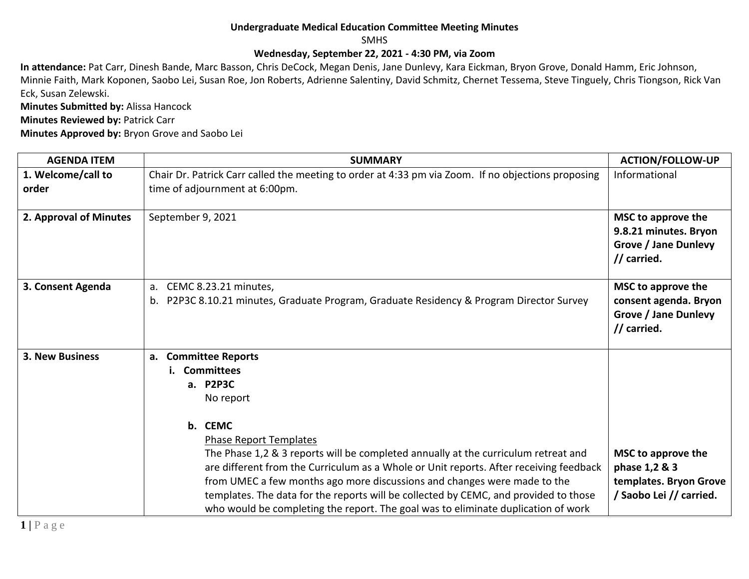## **Undergraduate Medical Education Committee Meeting Minutes**

SMHS

## **Wednesday, September 22, 2021 - 4:30 PM, via Zoom**

**In attendance:** Pat Carr, Dinesh Bande, Marc Basson, Chris DeCock, Megan Denis, Jane Dunlevy, Kara Eickman, Bryon Grove, Donald Hamm, Eric Johnson, Minnie Faith, Mark Koponen, Saobo Lei, Susan Roe, Jon Roberts, Adrienne Salentiny, David Schmitz, Chernet Tessema, Steve Tinguely, Chris Tiongson, Rick Van Eck, Susan Zelewski.

**Minutes Submitted by:** Alissa Hancock **Minutes Reviewed by: Patrick Carr** 

**Minutes Approved by:** Bryon Grove and Saobo Lei

| <b>AGENDA ITEM</b>          | <b>SUMMARY</b>                                                                                                                                                                                                                                                                                                                                                                                                                                                                                                                                      | <b>ACTION/FOLLOW-UP</b>                                                                   |
|-----------------------------|-----------------------------------------------------------------------------------------------------------------------------------------------------------------------------------------------------------------------------------------------------------------------------------------------------------------------------------------------------------------------------------------------------------------------------------------------------------------------------------------------------------------------------------------------------|-------------------------------------------------------------------------------------------|
| 1. Welcome/call to<br>order | Chair Dr. Patrick Carr called the meeting to order at 4:33 pm via Zoom. If no objections proposing<br>time of adjournment at 6:00pm.                                                                                                                                                                                                                                                                                                                                                                                                                | Informational                                                                             |
| 2. Approval of Minutes      | September 9, 2021                                                                                                                                                                                                                                                                                                                                                                                                                                                                                                                                   | MSC to approve the<br>9.8.21 minutes. Bryon<br><b>Grove / Jane Dunlevy</b><br>// carried. |
| 3. Consent Agenda           | a. CEMC 8.23.21 minutes,<br>b. P2P3C 8.10.21 minutes, Graduate Program, Graduate Residency & Program Director Survey                                                                                                                                                                                                                                                                                                                                                                                                                                | MSC to approve the<br>consent agenda. Bryon<br><b>Grove / Jane Dunlevy</b><br>// carried. |
| <b>3. New Business</b>      | a. Committee Reports<br>i. Committees<br>a. P2P3C<br>No report<br>b. CEMC<br><b>Phase Report Templates</b><br>The Phase 1,2 & 3 reports will be completed annually at the curriculum retreat and<br>are different from the Curriculum as a Whole or Unit reports. After receiving feedback<br>from UMEC a few months ago more discussions and changes were made to the<br>templates. The data for the reports will be collected by CEMC, and provided to those<br>who would be completing the report. The goal was to eliminate duplication of work | MSC to approve the<br>phase 1,2 & 3<br>templates. Bryon Grove<br>/ Saobo Lei // carried.  |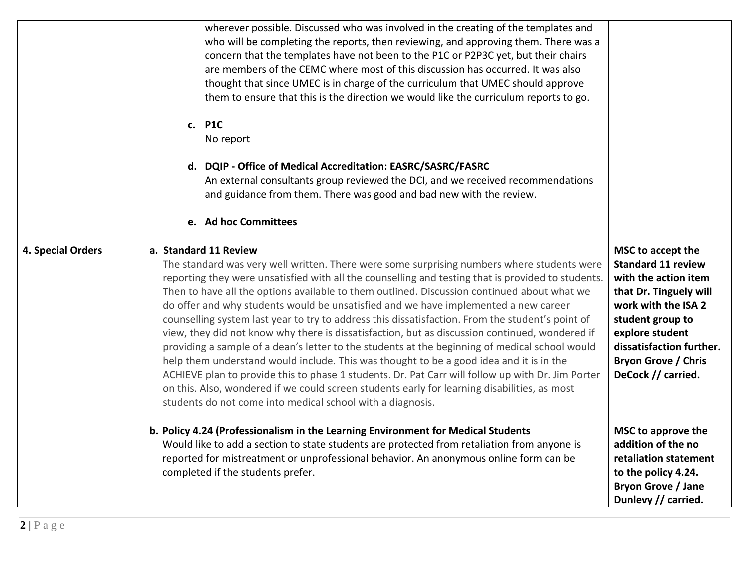|                   | wherever possible. Discussed who was involved in the creating of the templates and<br>who will be completing the reports, then reviewing, and approving them. There was a<br>concern that the templates have not been to the P1C or P2P3C yet, but their chairs<br>are members of the CEMC where most of this discussion has occurred. It was also<br>thought that since UMEC is in charge of the curriculum that UMEC should approve<br>them to ensure that this is the direction we would like the curriculum reports to go.<br>c. P1C<br>No report<br>d. DQIP - Office of Medical Accreditation: EASRC/SASRC/FASRC<br>An external consultants group reviewed the DCI, and we received recommendations<br>and guidance from them. There was good and bad new with the review.<br>e. Ad hoc Committees                                                                                                                                                                                                                                                                               |                                                                                                                                                                                                                                                |
|-------------------|---------------------------------------------------------------------------------------------------------------------------------------------------------------------------------------------------------------------------------------------------------------------------------------------------------------------------------------------------------------------------------------------------------------------------------------------------------------------------------------------------------------------------------------------------------------------------------------------------------------------------------------------------------------------------------------------------------------------------------------------------------------------------------------------------------------------------------------------------------------------------------------------------------------------------------------------------------------------------------------------------------------------------------------------------------------------------------------|------------------------------------------------------------------------------------------------------------------------------------------------------------------------------------------------------------------------------------------------|
| 4. Special Orders | a. Standard 11 Review<br>The standard was very well written. There were some surprising numbers where students were<br>reporting they were unsatisfied with all the counselling and testing that is provided to students.<br>Then to have all the options available to them outlined. Discussion continued about what we<br>do offer and why students would be unsatisfied and we have implemented a new career<br>counselling system last year to try to address this dissatisfaction. From the student's point of<br>view, they did not know why there is dissatisfaction, but as discussion continued, wondered if<br>providing a sample of a dean's letter to the students at the beginning of medical school would<br>help them understand would include. This was thought to be a good idea and it is in the<br>ACHIEVE plan to provide this to phase 1 students. Dr. Pat Carr will follow up with Dr. Jim Porter<br>on this. Also, wondered if we could screen students early for learning disabilities, as most<br>students do not come into medical school with a diagnosis. | MSC to accept the<br><b>Standard 11 review</b><br>with the action item<br>that Dr. Tinguely will<br>work with the ISA 2<br>student group to<br>explore student<br>dissatisfaction further.<br><b>Bryon Grove / Chris</b><br>DeCock // carried. |
|                   | b. Policy 4.24 (Professionalism in the Learning Environment for Medical Students<br>Would like to add a section to state students are protected from retaliation from anyone is<br>reported for mistreatment or unprofessional behavior. An anonymous online form can be<br>completed if the students prefer.                                                                                                                                                                                                                                                                                                                                                                                                                                                                                                                                                                                                                                                                                                                                                                         | MSC to approve the<br>addition of the no<br>retaliation statement<br>to the policy 4.24.<br><b>Bryon Grove / Jane</b><br>Dunlevy // carried.                                                                                                   |